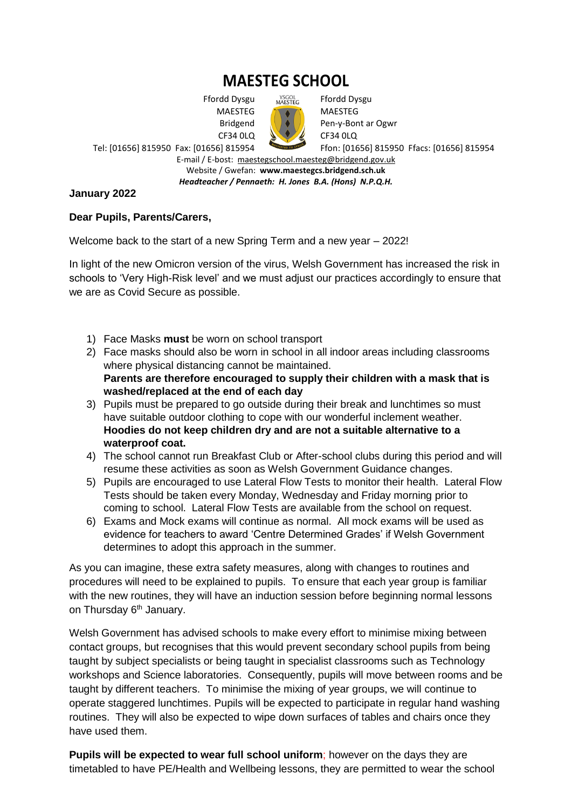# **MAESTEG SCHOOL**

 Ffordd Dysgu MAESTEG Bridgend CF34 0LQ Tel: [01656] 815950 Fax: [01656] 815954

YSGOL<br>MAESTEG Ffordd Dysgu

MAESTEG Pen-y-Bont ar Ogwr CF34 0LQ Ffon: [01656] 815950 Ffacs: [01656] 815954

E-mail / E-bost: [maestegschool.maesteg@bridgend.gov.uk](mailto:maestegschool.maesteg@bridgend.gov.uk) Website / Gwefan: **www.maestegcs.bridgend.sch.uk**

*Headteacher / Pennaeth: H. Jones B.A. (Hons) N.P.Q.H.*

### **January 2022**

### **Dear Pupils, Parents/Carers,**

Welcome back to the start of a new Spring Term and a new year – 2022!

In light of the new Omicron version of the virus, Welsh Government has increased the risk in schools to 'Very High-Risk level' and we must adjust our practices accordingly to ensure that we are as Covid Secure as possible.

- 1) Face Masks **must** be worn on school transport
- 2) Face masks should also be worn in school in all indoor areas including classrooms where physical distancing cannot be maintained. **Parents are therefore encouraged to supply their children with a mask that is washed/replaced at the end of each day**
- 3) Pupils must be prepared to go outside during their break and lunchtimes so must have suitable outdoor clothing to cope with our wonderful inclement weather. **Hoodies do not keep children dry and are not a suitable alternative to a waterproof coat.**
- 4) The school cannot run Breakfast Club or After-school clubs during this period and will resume these activities as soon as Welsh Government Guidance changes.
- 5) Pupils are encouraged to use Lateral Flow Tests to monitor their health. Lateral Flow Tests should be taken every Monday, Wednesday and Friday morning prior to coming to school. Lateral Flow Tests are available from the school on request.
- 6) Exams and Mock exams will continue as normal. All mock exams will be used as evidence for teachers to award 'Centre Determined Grades' if Welsh Government determines to adopt this approach in the summer.

As you can imagine, these extra safety measures, along with changes to routines and procedures will need to be explained to pupils. To ensure that each year group is familiar with the new routines, they will have an induction session before beginning normal lessons on Thursday  $6<sup>th</sup>$  January.

Welsh Government has advised schools to make every effort to minimise mixing between contact groups, but recognises that this would prevent secondary school pupils from being taught by subject specialists or being taught in specialist classrooms such as Technology workshops and Science laboratories. Consequently, pupils will move between rooms and be taught by different teachers. To minimise the mixing of year groups, we will continue to operate staggered lunchtimes. Pupils will be expected to participate in regular hand washing routines. They will also be expected to wipe down surfaces of tables and chairs once they have used them.

**Pupils will be expected to wear full school uniform**; however on the days they are timetabled to have PE/Health and Wellbeing lessons, they are permitted to wear the school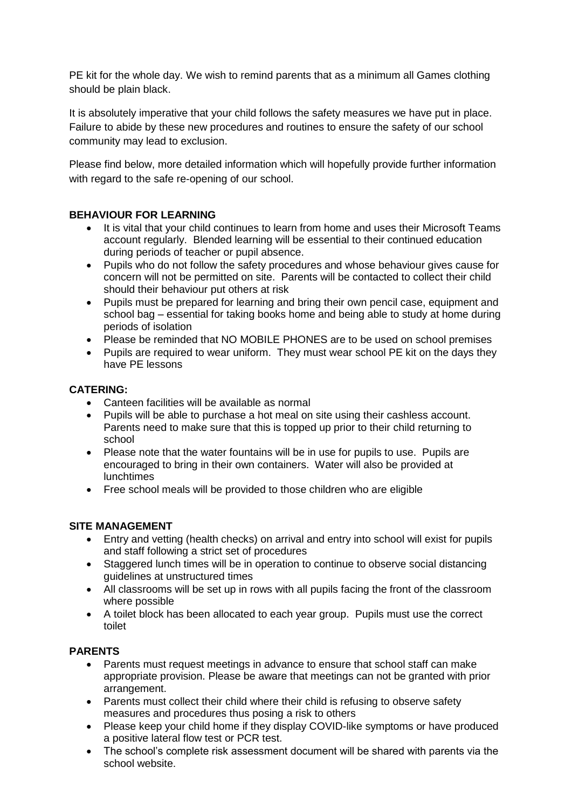PE kit for the whole day. We wish to remind parents that as a minimum all Games clothing should be plain black.

It is absolutely imperative that your child follows the safety measures we have put in place. Failure to abide by these new procedures and routines to ensure the safety of our school community may lead to exclusion.

Please find below, more detailed information which will hopefully provide further information with regard to the safe re-opening of our school.

# **BEHAVIOUR FOR LEARNING**

- It is vital that your child continues to learn from home and uses their Microsoft Teams account regularly. Blended learning will be essential to their continued education during periods of teacher or pupil absence.
- Pupils who do not follow the safety procedures and whose behaviour gives cause for concern will not be permitted on site. Parents will be contacted to collect their child should their behaviour put others at risk
- Pupils must be prepared for learning and bring their own pencil case, equipment and school bag – essential for taking books home and being able to study at home during periods of isolation
- Please be reminded that NO MOBILE PHONES are to be used on school premises
- Pupils are required to wear uniform. They must wear school PE kit on the days they have PE lessons

### **CATERING:**

- Canteen facilities will be available as normal
- Pupils will be able to purchase a hot meal on site using their cashless account. Parents need to make sure that this is topped up prior to their child returning to school
- Please note that the water fountains will be in use for pupils to use. Pupils are encouraged to bring in their own containers. Water will also be provided at lunchtimes
- Free school meals will be provided to those children who are eligible

# **SITE MANAGEMENT**

- Entry and vetting (health checks) on arrival and entry into school will exist for pupils and staff following a strict set of procedures
- Staggered lunch times will be in operation to continue to observe social distancing guidelines at unstructured times
- All classrooms will be set up in rows with all pupils facing the front of the classroom where possible
- A toilet block has been allocated to each year group. Pupils must use the correct toilet

# **PARENTS**

- Parents must request meetings in advance to ensure that school staff can make appropriate provision. Please be aware that meetings can not be granted with prior arrangement.
- Parents must collect their child where their child is refusing to observe safety measures and procedures thus posing a risk to others
- Please keep your child home if they display COVID-like symptoms or have produced a positive lateral flow test or PCR test.
- The school's complete risk assessment document will be shared with parents via the school website.